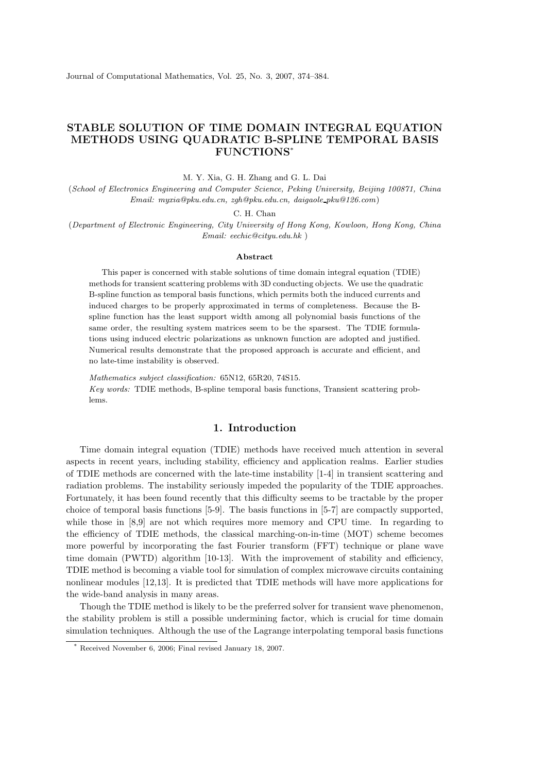# STABLE SOLUTION OF TIME DOMAIN INTEGRAL EQUATION METHODS USING QUADRATIC B-SPLINE TEMPORAL BASIS FUNCTIONS\*

M. Y. Xia, G. H. Zhang and G. L. Dai

(School of Electronics Engineering and Computer Science, Peking University, Beijing 100871, China Email: myxia@pku.edu.cn, zgh@pku.edu.cn, daigaole pku@126.com)

C. H. Chan

(Department of Electronic Engineering, City University of Hong Kong, Kowloon, Hong Kong, China Email: eechic@cityu.edu.hk )

#### Abstract

This paper is concerned with stable solutions of time domain integral equation (TDIE) methods for transient scattering problems with 3D conducting objects. We use the quadratic B-spline function as temporal basis functions, which permits both the induced currents and induced charges to be properly approximated in terms of completeness. Because the Bspline function has the least support width among all polynomial basis functions of the same order, the resulting system matrices seem to be the sparsest. The TDIE formulations using induced electric polarizations as unknown function are adopted and justified. Numerical results demonstrate that the proposed approach is accurate and efficient, and no late-time instability is observed.

Mathematics subject classification: 65N12, 65R20, 74S15. Key words: TDIE methods, B-spline temporal basis functions, Transient scattering problems.

## 1. Introduction

Time domain integral equation (TDIE) methods have received much attention in several aspects in recent years, including stability, efficiency and application realms. Earlier studies of TDIE methods are concerned with the late-time instability [1-4] in transient scattering and radiation problems. The instability seriously impeded the popularity of the TDIE approaches. Fortunately, it has been found recently that this difficulty seems to be tractable by the proper choice of temporal basis functions [5-9]. The basis functions in [5-7] are compactly supported, while those in [8,9] are not which requires more memory and CPU time. In regarding to the efficiency of TDIE methods, the classical marching-on-in-time (MOT) scheme becomes more powerful by incorporating the fast Fourier transform (FFT) technique or plane wave time domain (PWTD) algorithm [10-13]. With the improvement of stability and efficiency, TDIE method is becoming a viable tool for simulation of complex microwave circuits containing nonlinear modules [12,13]. It is predicted that TDIE methods will have more applications for the wide-band analysis in many areas.

Though the TDIE method is likely to be the preferred solver for transient wave phenomenon, the stability problem is still a possible undermining factor, which is crucial for time domain simulation techniques. Although the use of the Lagrange interpolating temporal basis functions

Received November 6, 2006; Final revised January 18, 2007.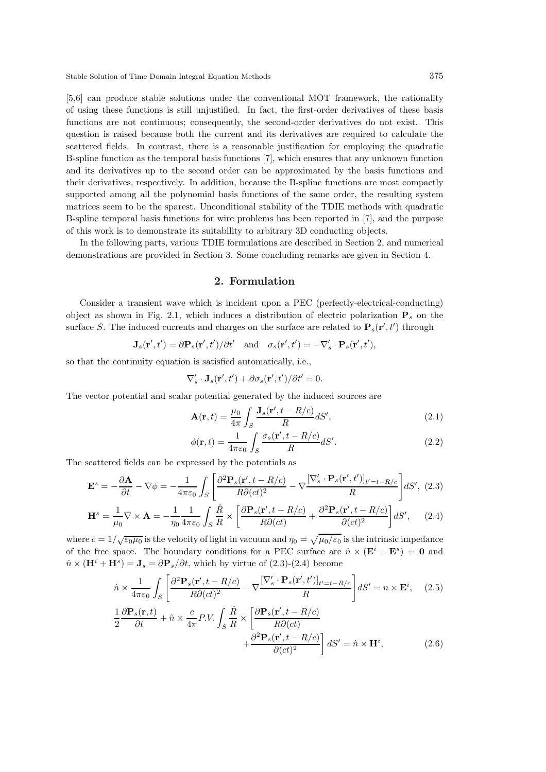Stable Solution of Time Domain Integral Equation Methods 375

[5,6] can produce stable solutions under the conventional MOT framework, the rationality of using these functions is still unjustified. In fact, the first-order derivatives of these basis functions are not continuous; consequently, the second-order derivatives do not exist. This question is raised because both the current and its derivatives are required to calculate the scattered fields. In contrast, there is a reasonable justification for employing the quadratic B-spline function as the temporal basis functions [7], which ensures that any unknown function and its derivatives up to the second order can be approximated by the basis functions and their derivatives, respectively. In addition, because the B-spline functions are most compactly supported among all the polynomial basis functions of the same order, the resulting system matrices seem to be the sparest. Unconditional stability of the TDIE methods with quadratic B-spline temporal basis functions for wire problems has been reported in [7], and the purpose of this work is to demonstrate its suitability to arbitrary 3D conducting objects.

In the following parts, various TDIE formulations are described in Section 2, and numerical demonstrations are provided in Section 3. Some concluding remarks are given in Section 4.

#### 2. Formulation

Consider a transient wave which is incident upon a PEC (perfectly-electrical-conducting) object as shown in Fig. 2.1, which induces a distribution of electric polarization  $P_s$  on the surface S. The induced currents and charges on the surface are related to  $\mathbf{P}_s(\mathbf{r}', t')$  through

$$
\mathbf{J}_s(\mathbf{r}',t') = \partial \mathbf{P}_s(\mathbf{r}',t')/\partial t' \text{ and } \sigma_s(\mathbf{r}',t') = -\nabla_s' \cdot \mathbf{P}_s(\mathbf{r}',t'),
$$

so that the continuity equation is satisfied automatically, i.e.,

$$
\nabla'_{s} \cdot \mathbf{J}_{s}(\mathbf{r}',t') + \partial \sigma_{s}(\mathbf{r}',t')/\partial t' = 0.
$$

The vector potential and scalar potential generated by the induced sources are

$$
\mathbf{A}(\mathbf{r},t) = \frac{\mu_0}{4\pi} \int_S \frac{\mathbf{J}_s(\mathbf{r}',t - R/c)}{R} dS',\tag{2.1}
$$

$$
\phi(\mathbf{r},t) = \frac{1}{4\pi\varepsilon_0} \int_S \frac{\sigma_s(\mathbf{r}',t - R/c)}{R} dS'.\tag{2.2}
$$

The scattered fields can be expressed by the potentials as

$$
\mathbf{E}^s = -\frac{\partial \mathbf{A}}{\partial t} - \nabla \phi = -\frac{1}{4\pi\varepsilon_0} \int_S \left[ \frac{\partial^2 \mathbf{P}_s(\mathbf{r}', t - R/c)}{R \partial (ct)^2} - \nabla \frac{[\nabla'_s \cdot \mathbf{P}_s(\mathbf{r}', t')]_{t'=t-R/c}}{R} \right] dS', \tag{2.3}
$$

$$
\mathbf{H}^{s} = \frac{1}{\mu_{0}} \nabla \times \mathbf{A} = -\frac{1}{\eta_{0}} \frac{1}{4\pi\varepsilon_{0}} \int_{S} \frac{\hat{R}}{R} \times \left[ \frac{\partial \mathbf{P}_{s}(\mathbf{r}', t - R/c)}{R \partial(ct)} + \frac{\partial^{2} \mathbf{P}_{s}(\mathbf{r}', t - R/c)}{\partial(ct)^{2}} \right] dS', \quad (2.4)
$$

where  $c = 1/\sqrt{\varepsilon_0\mu_0}$  is the velocity of light in vacuum and  $\eta_0 = \sqrt{\mu_0/\varepsilon_0}$  is the intrinsic impedance of the free space. The boundary conditions for a PEC surface are  $\hat{n} \times (\mathbf{E}^i + \mathbf{E}^s) = \mathbf{0}$  and  $\hat{n} \times (\mathbf{H}^i + \mathbf{H}^s) = \mathbf{J}_s = \partial \mathbf{P}_s / \partial t$ , which by virtue of  $(2.3)$ - $(2.4)$  become

$$
\hat{n} \times \frac{1}{4\pi\varepsilon_0} \int_S \left[ \frac{\partial^2 \mathbf{P}_s(\mathbf{r}', t - R/c)}{R \partial (ct)^2} - \nabla \frac{[\nabla'_s \cdot \mathbf{P}_s(\mathbf{r}', t')]_{t'=t-R/c}}{R} \right] dS' = n \times \mathbf{E}^i, \quad (2.5)
$$
  

$$
\frac{1}{2} \frac{\partial \mathbf{P}_s(\mathbf{r}, t)}{\partial t} + \hat{n} \times \frac{c}{4\pi} P.V. \int_S \frac{\hat{R}}{R} \times \left[ \frac{\partial \mathbf{P}_s(\mathbf{r}', t - R/c)}{R \partial (ct)} + \frac{\partial^2 \mathbf{P}_s(\mathbf{r}', t - R/c)}{\partial (ct)^2} \right] dS' = \hat{n} \times \mathbf{H}^i, \quad (2.6)
$$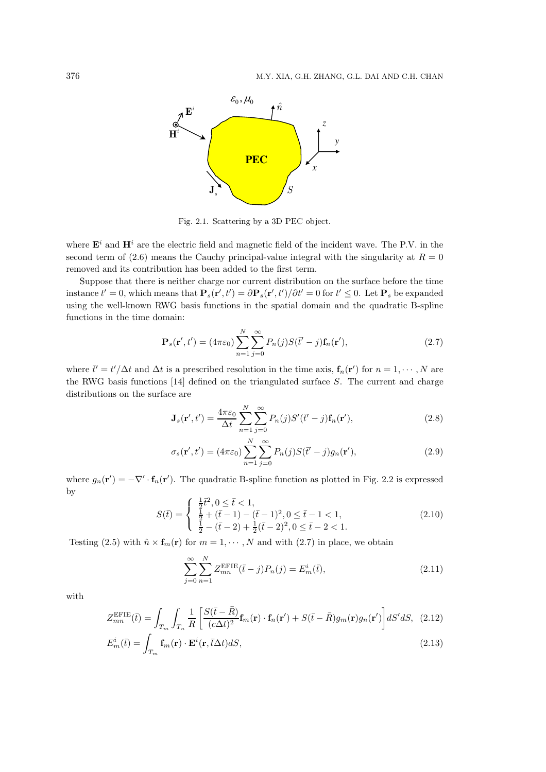

Fig. 2.1. Scattering by a 3D PEC object.

where  $\mathbf{E}^i$  and  $\mathbf{H}^i$  are the electric field and magnetic field of the incident wave. The P.V. in the second term of (2.6) means the Cauchy principal-value integral with the singularity at  $R = 0$ removed and its contribution has been added to the first term.

Suppose that there is neither charge nor current distribution on the surface before the time instance  $t' = 0$ , which means that  $\mathbf{P}_s(\mathbf{r}', t') = \partial \mathbf{P}_s(\mathbf{r}', t')/\partial t' = 0$  for  $t' \leq 0$ . Let  $\mathbf{P}_s$  be expanded using the well-known RWG basis functions in the spatial domain and the quadratic B-spline functions in the time domain:

$$
\mathbf{P}_s(\mathbf{r}',t') = (4\pi\varepsilon_0) \sum_{n=1}^N \sum_{j=0}^\infty P_n(j) S(\bar{t}'-j) \mathbf{f}_n(\mathbf{r}'),\tag{2.7}
$$

where  $\bar{t}' = t'/\Delta t$  and  $\Delta t$  is a prescribed resolution in the time axis,  $f_n(r')$  for  $n = 1, \dots, N$  are the RWG basis functions  $[14]$  defined on the triangulated surface S. The current and charge distributions on the surface are

$$
\mathbf{J}_s(\mathbf{r}',t') = \frac{4\pi\varepsilon_0}{\Delta t} \sum_{n=1}^N \sum_{j=0}^\infty P_n(j) S'(\bar{t}'-j) \mathbf{f}_n(\mathbf{r}'),\tag{2.8}
$$

$$
\sigma_s(\mathbf{r}',t') = (4\pi\varepsilon_0) \sum_{n=1}^N \sum_{j=0}^\infty P_n(j) S(\bar{t}'-j) g_n(\mathbf{r}'),\tag{2.9}
$$

where  $g_n(\mathbf{r}') = -\nabla' \cdot \mathbf{f}_n(\mathbf{r}')$ . The quadratic B-spline function as plotted in Fig. 2.2 is expressed by

$$
S(\bar{t}) = \begin{cases} \frac{1}{2}\bar{t}^2, 0 \le \bar{t} < 1, \\ \frac{1}{2} + (\bar{t} - 1) - (\bar{t} - 1)^2, 0 \le \bar{t} - 1 < 1, \\ \frac{1}{2} - (\bar{t} - 2) + \frac{1}{2}(\bar{t} - 2)^2, 0 \le \bar{t} - 2 < 1. \end{cases}
$$
(2.10)

Testing (2.5) with  $\hat{n} \times \mathbf{f}_m(\mathbf{r})$  for  $m = 1, \dots, N$  and with (2.7) in place, we obtain

$$
\sum_{j=0}^{\infty} \sum_{n=1}^{N} Z_{mn}^{\text{EFIE}}(\bar{t} - j) P_n(j) = E_m^i(\bar{t}),
$$
\n(2.11)

with

$$
Z_{mn}^{\text{EFIE}}(\bar{t}) = \int_{T_m} \int_{T_n} \frac{1}{R} \left[ \frac{S(\bar{t} - \bar{R})}{(c\Delta t)^2} \mathbf{f}_m(\mathbf{r}) \cdot \mathbf{f}_n(\mathbf{r}') + S(\bar{t} - \bar{R}) g_m(\mathbf{r}) g_n(\mathbf{r}') \right] dS' dS, \tag{2.12}
$$

$$
E_m^i(\bar{t}) = \int_{T_m} \mathbf{f}_m(\mathbf{r}) \cdot \mathbf{E}^i(\mathbf{r}, \bar{t}\Delta t) dS,
$$
\n(2.13)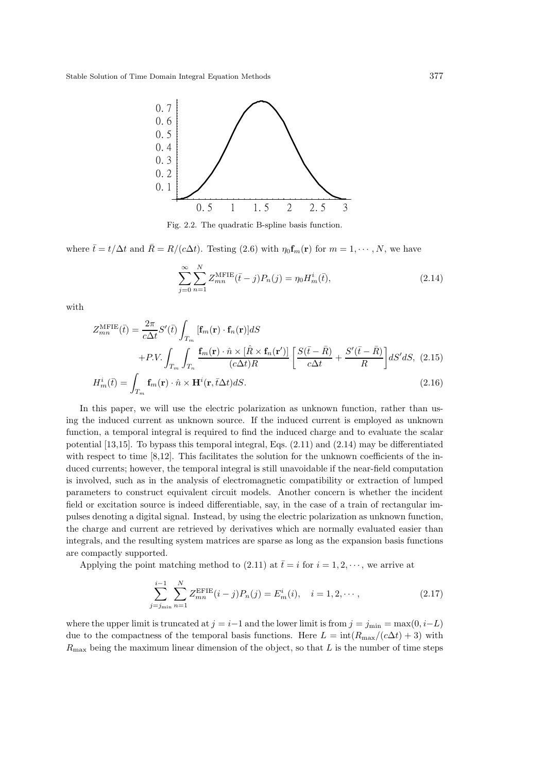

Fig. 2.2. The quadratic B-spline basis function.

where  $\bar{t}= t/\Delta t$  and  $\bar{R}= R/(c\Delta t)$ . Testing (2.6) with  $\eta_0 \mathbf{f}_m(\mathbf{r})$  for  $m=1,\cdots,N$ , we have

$$
\sum_{j=0}^{\infty} \sum_{n=1}^{N} Z_{mn}^{\text{MFIE}}(\bar{t} - j) P_n(j) = \eta_0 H_m^i(\bar{t}), \qquad (2.14)
$$

with

$$
Z_{mn}^{\text{MFIE}}(\bar{t}) = \frac{2\pi}{c\Delta t} S'(\bar{t}) \int_{T_m} [\mathbf{f}_m(\mathbf{r}) \cdot \mathbf{f}_n(\mathbf{r})] dS + P.V. \int_{T_m} \int_{T_n} \frac{\mathbf{f}_m(\mathbf{r}) \cdot \hat{n} \times [\hat{R} \times \mathbf{f}_n(\mathbf{r}')]}{(c\Delta t)R} \left[ \frac{S(\bar{t} - \bar{R})}{c\Delta t} + \frac{S'(\bar{t} - \bar{R})}{R} \right] dS' dS, (2.15)
$$
H_m^i(\bar{t}) = \int_{T_m} \mathbf{f}_m(\mathbf{r}) \cdot \hat{n} \times \mathbf{H}^i(\mathbf{r}, \bar{t}\Delta t) dS.
$$
 (2.16)
$$

In this paper, we will use the electric polarization as unknown function, rather than using the induced current as unknown source. If the induced current is employed as unknown function, a temporal integral is required to find the induced charge and to evaluate the scalar potential [13,15]. To bypass this temporal integral, Eqs. (2.11) and (2.14) may be differentiated with respect to time [8,12]. This facilitates the solution for the unknown coefficients of the induced currents; however, the temporal integral is still unavoidable if the near-field computation is involved, such as in the analysis of electromagnetic compatibility or extraction of lumped parameters to construct equivalent circuit models. Another concern is whether the incident field or excitation source is indeed differentiable, say, in the case of a train of rectangular impulses denoting a digital signal. Instead, by using the electric polarization as unknown function, the charge and current are retrieved by derivatives which are normally evaluated easier than integrals, and the resulting system matrices are sparse as long as the expansion basis functions are compactly supported.

Applying the point matching method to (2.11) at  $\bar{t}=i$  for  $i = 1, 2, \dots$ , we arrive at

$$
\sum_{j=j_{\min}}^{i-1} \sum_{n=1}^{N} Z_{mn}^{\text{EFIE}}(i-j) P_n(j) = E_m^i(i), \quad i = 1, 2, \cdots,
$$
\n(2.17)

where the upper limit is truncated at  $j = i-1$  and the lower limit is from  $j = j_{\min} = \max(0, i - L)$ due to the compactness of the temporal basis functions. Here  $L = \text{int}(R_{\text{max}}/(c\Delta t) + 3)$  with  $R_{\text{max}}$  being the maximum linear dimension of the object, so that L is the number of time steps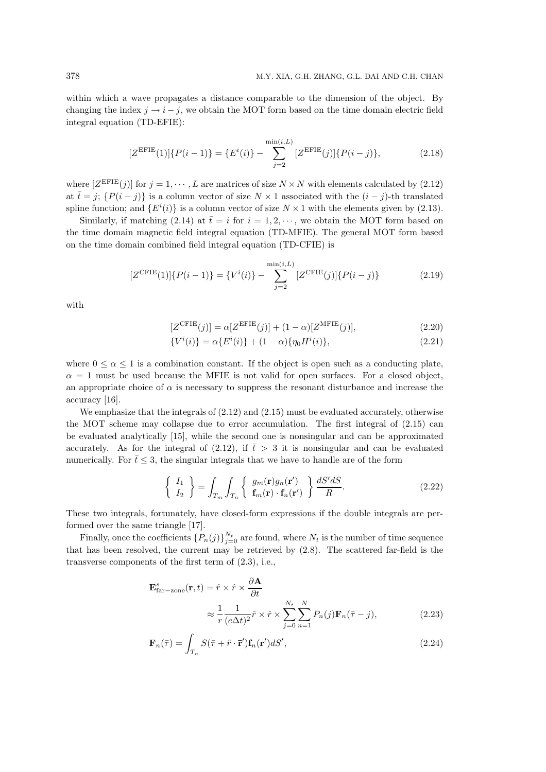within which a wave propagates a distance comparable to the dimension of the object. By changing the index  $j \rightarrow i - j$ , we obtain the MOT form based on the time domain electric field integral equation (TD-EFIE):

$$
[Z^{\text{EFIE}}(1)]\{P(i-1)\} = \{E^{i}(i)\} - \sum_{j=2}^{\min(i,L)} [Z^{\text{EFIE}}(j)]\{P(i-j)\},\tag{2.18}
$$

where  $[Z^{\text{EFIE}}(j)]$  for  $j = 1, \dots, L$  are matrices of size  $N \times N$  with elements calculated by  $(2.12)$ at  $\bar{t} = j$ ;  $\{P(i - j)\}\$ is a column vector of size  $N \times 1$  associated with the  $(i - j)$ -th translated spline function; and  $\{E^{i}(i)\}\$ is a column vector of size  $N\times 1$  with the elements given by (2.13).

Similarly, if matching (2.14) at  $\bar{t}=i$  for  $i=1,2,\cdots$ , we obtain the MOT form based on the time domain magnetic field integral equation (TD-MFIE). The general MOT form based on the time domain combined field integral equation (TD-CFIE) is

$$
[Z^{\text{CFIE}}(1)]\{P(i-1)\} = \{V^i(i)\} - \sum_{j=2}^{\min(i,L)} [Z^{\text{CFIE}}(j)]\{P(i-j)\}
$$
(2.19)

with

$$
[Z^{\text{CFIE}}(j)] = \alpha [Z^{\text{EFIE}}(j)] + (1 - \alpha)[Z^{\text{MFIE}}(j)],\tag{2.20}
$$

$$
\{V^{i}(i)\} = \alpha \{E^{i}(i)\} + (1 - \alpha) \{\eta_{0} H^{i}(i)\},\tag{2.21}
$$

where  $0 \le \alpha \le 1$  is a combination constant. If the object is open such as a conducting plate,  $\alpha = 1$  must be used because the MFIE is not valid for open surfaces. For a closed object, an appropriate choice of  $\alpha$  is necessary to suppress the resonant disturbance and increase the accuracy [16].

We emphasize that the integrals of  $(2.12)$  and  $(2.15)$  must be evaluated accurately, otherwise the MOT scheme may collapse due to error accumulation. The first integral of (2.15) can be evaluated analytically [15], while the second one is nonsingular and can be approximated accurately. As for the integral of (2.12), if  $\bar{t} > 3$  it is nonsingular and can be evaluated numerically. For  $\bar{t} \leq 3$ , the singular integrals that we have to handle are of the form

$$
\begin{cases}\nI_1 \\
I_2\n\end{cases} = \int_{T_m} \int_{T_n} \begin{cases}\ng_m(\mathbf{r})g_n(\mathbf{r}') \\
\mathbf{f}_m(\mathbf{r}) \cdot \mathbf{f}_n(\mathbf{r}')\n\end{cases} \frac{dS'dS}{R}.\n\tag{2.22}
$$

These two integrals, fortunately, have closed-form expressions if the double integrals are performed over the same triangle [17].

Finally, once the coefficients  $\{P_n(j)\}_{j=0}^{N_t}$  are found, where  $N_t$  is the number of time sequence that has been resolved, the current may be retrieved by (2.8). The scattered far-field is the transverse components of the first term of (2.3), i.e.,

$$
\mathbf{E}_{\text{far}-\text{zone}}^{s}(\mathbf{r},t) = \hat{r} \times \hat{r} \times \frac{\partial \mathbf{A}}{\partial t} \n\approx \frac{1}{r} \frac{1}{(c\Delta t)^2} \hat{r} \times \hat{r} \times \sum_{j=0}^{N_t} \sum_{n=1}^{N} P_n(j) \mathbf{F}_n(\bar{\tau} - j),
$$
\n(2.23)

$$
\mathbf{F}_n(\bar{\tau}) = \int_{T_n} S(\bar{\tau} + \hat{r} \cdot \bar{\mathbf{r}}') \mathbf{f}_n(\mathbf{r}') dS', \tag{2.24}
$$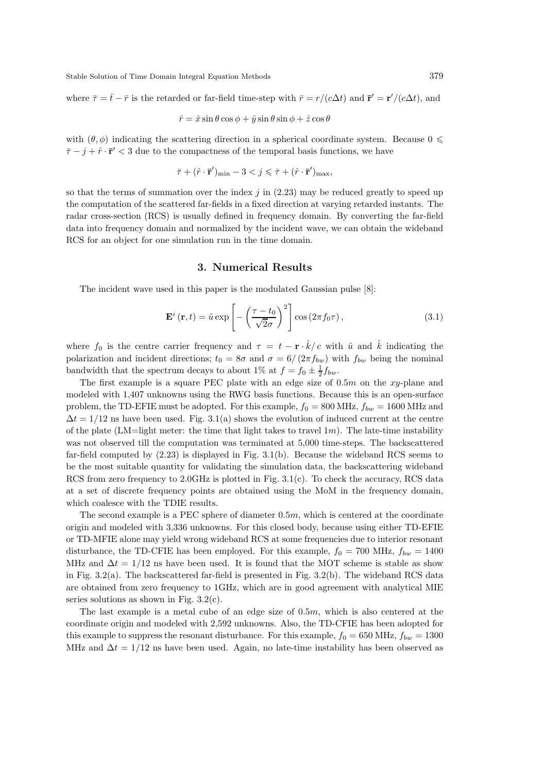Stable Solution of Time Domain Integral Equation Methods 379

where  $\bar{\tau} = \bar{t} - \bar{r}$  is the retarded or far-field time-step with  $\bar{r} = r/(c\Delta t)$  and  $\bar{\mathbf{r}}' = \mathbf{r}'/(c\Delta t)$ , and

$$
\hat{r} = \hat{x}\sin\theta\cos\phi + \hat{y}\sin\theta\sin\phi + \hat{z}\cos\theta
$$

with  $(\theta, \phi)$  indicating the scattering direction in a spherical coordinate system. Because  $0 \leq$  $\bar{\tau} - j + \hat{r} \cdot \bar{r}' < 3$  due to the compactness of the temporal basis functions, we have

$$
\bar{\tau} + (\hat{r} \cdot \bar{\mathbf{r}}')_{\text{min}} - 3 < j \leq \bar{\tau} + (\hat{r} \cdot \bar{\mathbf{r}}')_{\text{max}},
$$

so that the terms of summation over the index  $j$  in  $(2.23)$  may be reduced greatly to speed up the computation of the scattered far-fields in a fixed direction at varying retarded instants. The radar cross-section (RCS) is usually defined in frequency domain. By converting the far-field data into frequency domain and normalized by the incident wave, we can obtain the wideband RCS for an object for one simulation run in the time domain.

### 3. Numerical Results

The incident wave used in this paper is the modulated Gaussian pulse [8]:

$$
\mathbf{E}^{i}(\mathbf{r},t) = \hat{u} \exp\left[-\left(\frac{\tau - t_{0}}{\sqrt{2}\sigma}\right)^{2}\right] \cos\left(2\pi f_{0}\tau\right),\tag{3.1}
$$

where  $f_0$  is the centre carrier frequency and  $\tau = t - \mathbf{r} \cdot \hat{k}/c$  with  $\hat{u}$  and  $\hat{k}$  indicating the polarization and incident directions;  $t_0 = 8\sigma$  and  $\sigma = 6/(2\pi f_{bw})$  with  $f_{bw}$  being the nominal bandwidth that the spectrum decays to about 1% at  $f = f_0 \pm \frac{1}{2} f_{bw}$ .

The first example is a square PEC plate with an edge size of  $0.5m$  on the xy-plane and modeled with 1,407 unknowns using the RWG basis functions. Because this is an open-surface problem, the TD-EFIE must be adopted. For this example,  $f_0 = 800$  MHz,  $f_{bw} = 1600$  MHz and  $\Delta t = 1/12$  ns have been used. Fig. 3.1(a) shows the evolution of induced current at the centre of the plate (LM=light meter: the time that light takes to travel  $1m$ ). The late-time instability was not observed till the computation was terminated at 5,000 time-steps. The backscattered far-field computed by (2.23) is displayed in Fig. 3.1(b). Because the wideband RCS seems to be the most suitable quantity for validating the simulation data, the backscattering wideband RCS from zero frequency to  $2.0\text{GHz}$  is plotted in Fig.  $3.1(c)$ . To check the accuracy, RCS data at a set of discrete frequency points are obtained using the MoM in the frequency domain, which coalesce with the TDIE results.

The second example is a PEC sphere of diameter  $0.5m$ , which is centered at the coordinate origin and modeled with 3,336 unknowns. For this closed body, because using either TD-EFIE or TD-MFIE alone may yield wrong wideband RCS at some frequencies due to interior resonant disturbance, the TD-CFIE has been employed. For this example,  $f_0 = 700$  MHz,  $f_{bw} = 1400$ MHz and  $\Delta t = 1/12$  ns have been used. It is found that the MOT scheme is stable as show in Fig. 3.2(a). The backscattered far-field is presented in Fig. 3.2(b). The wideband RCS data are obtained from zero frequency to 1GHz, which are in good agreement with analytical MIE series solutions as shown in Fig.  $3.2(c)$ .

The last example is a metal cube of an edge size of  $0.5m$ , which is also centered at the coordinate origin and modeled with 2,592 unknowns. Also, the TD-CFIE has been adopted for this example to suppress the resonant disturbance. For this example,  $f_0 = 650$  MHz,  $f_{bw} = 1300$ MHz and  $\Delta t = 1/12$  ns have been used. Again, no late-time instability has been observed as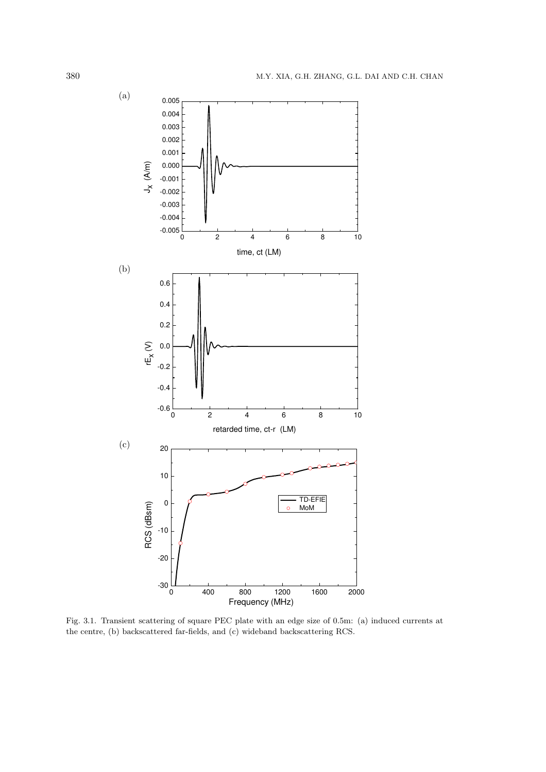

Fig. 3.1. Transient scattering of square PEC plate with an edge size of 0.5m: (a) induced currents at the centre, (b) backscattered far-fields, and (c) wideband backscattering RCS.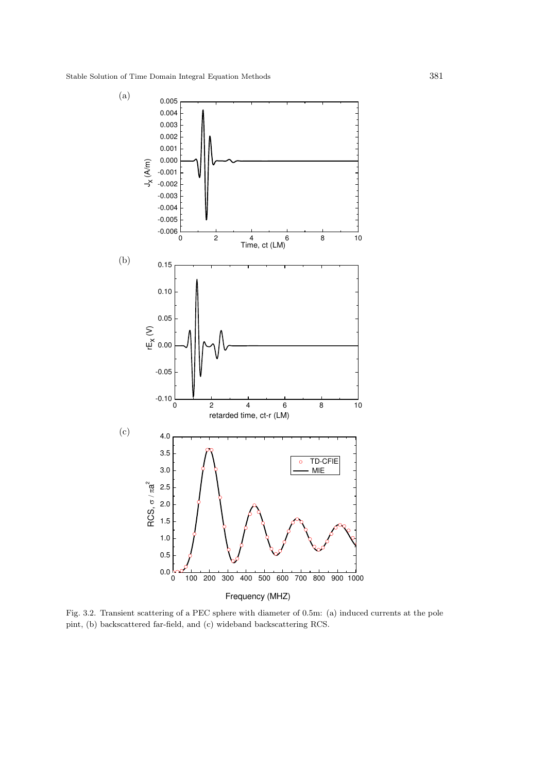

Fig. 3.2. Transient scattering of a PEC sphere with diameter of 0.5m: (a) induced currents at the pole pint, (b) backscattered far-field, and (c) wideband backscattering RCS.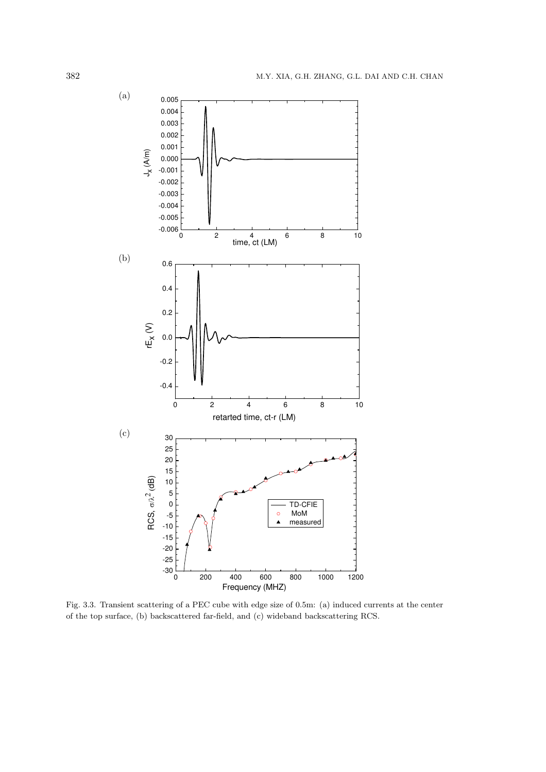

Fig. 3.3. Transient scattering of a PEC cube with edge size of 0.5m: (a) induced currents at the center of the top surface, (b) backscattered far-field, and (c) wideband backscattering RCS.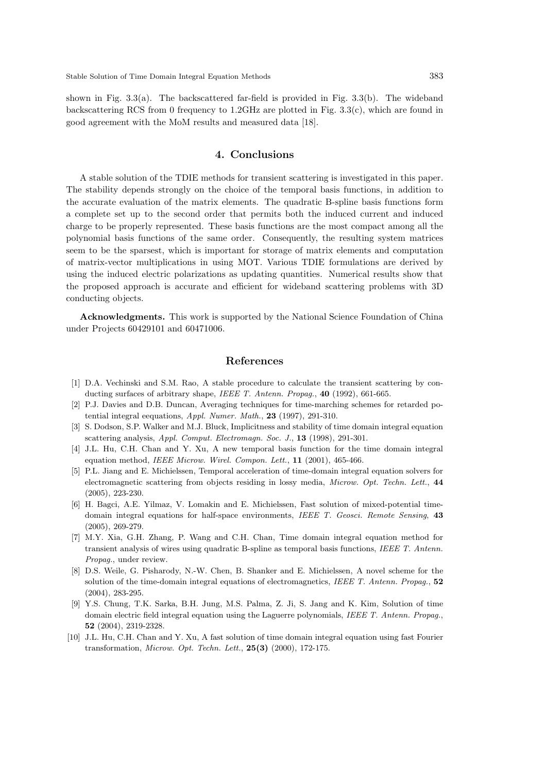shown in Fig.  $3.3(a)$ . The backscattered far-field is provided in Fig.  $3.3(b)$ . The wideband backscattering RCS from 0 frequency to  $1.2\text{GHz}$  are plotted in Fig.  $3.3(c)$ , which are found in good agreement with the MoM results and measured data [18].

### 4. Conclusions

A stable solution of the TDIE methods for transient scattering is investigated in this paper. The stability depends strongly on the choice of the temporal basis functions, in addition to the accurate evaluation of the matrix elements. The quadratic B-spline basis functions form a complete set up to the second order that permits both the induced current and induced charge to be properly represented. These basis functions are the most compact among all the polynomial basis functions of the same order. Consequently, the resulting system matrices seem to be the sparsest, which is important for storage of matrix elements and computation of matrix-vector multiplications in using MOT. Various TDIE formulations are derived by using the induced electric polarizations as updating quantities. Numerical results show that the proposed approach is accurate and efficient for wideband scattering problems with 3D conducting objects.

Acknowledgments. This work is supported by the National Science Foundation of China under Projects 60429101 and 60471006.

### References

- [1] D.A. Vechinski and S.M. Rao, A stable procedure to calculate the transient scattering by conducting surfaces of arbitrary shape, IEEE T. Antenn. Propag., 40 (1992), 661-665.
- [2] P.J. Davies and D.B. Duncan, Averaging techniques for time-marching schemes for retarded potential integral eequations,  $Appl.$  Numer. Math., 23 (1997), 291-310.
- [3] S. Dodson, S.P. Walker and M.J. Bluck, Implicitness and stability of time domain integral equation scattering analysis, Appl. Comput. Electromagn. Soc. J., 13 (1998), 291-301.
- [4] J.L. Hu, C.H. Chan and Y. Xu, A new temporal basis function for the time domain integral equation method, IEEE Microw. Wirel. Compon. Lett., 11 (2001), 465-466.
- [5] P.L. Jiang and E. Michielssen, Temporal acceleration of time-domain integral equation solvers for electromagnetic scattering from objects residing in lossy media, Microw. Opt. Techn. Lett., 44 (2005), 223-230.
- [6] H. Bagci, A.E. Yilmaz, V. Lomakin and E. Michielssen, Fast solution of mixed-potential timedomain integral equations for half-space environments, IEEE T. Geosci. Remote Sensing, 43 (2005), 269-279.
- [7] M.Y. Xia, G.H. Zhang, P. Wang and C.H. Chan, Time domain integral equation method for transient analysis of wires using quadratic B-spline as temporal basis functions, IEEE T. Antenn. Propag., under review.
- [8] D.S. Weile, G. Pisharody, N.-W. Chen, B. Shanker and E. Michielssen, A novel scheme for the solution of the time-domain integral equations of electromagnetics, IEEE T. Antenn. Propag., 52 (2004), 283-295.
- [9] Y.S. Chung, T.K. Sarka, B.H. Jung, M.S. Palma, Z. Ji, S. Jang and K. Kim, Solution of time domain electric field integral equation using the Laguerre polynomials, IEEE T. Antenn. Propag., 52 (2004), 2319-2328.
- [10] J.L. Hu, C.H. Chan and Y. Xu, A fast solution of time domain integral equation using fast Fourier transformation, *Microw. Opt. Techn. Lett.*,  $25(3)$   $(2000)$ ,  $172-175$ .